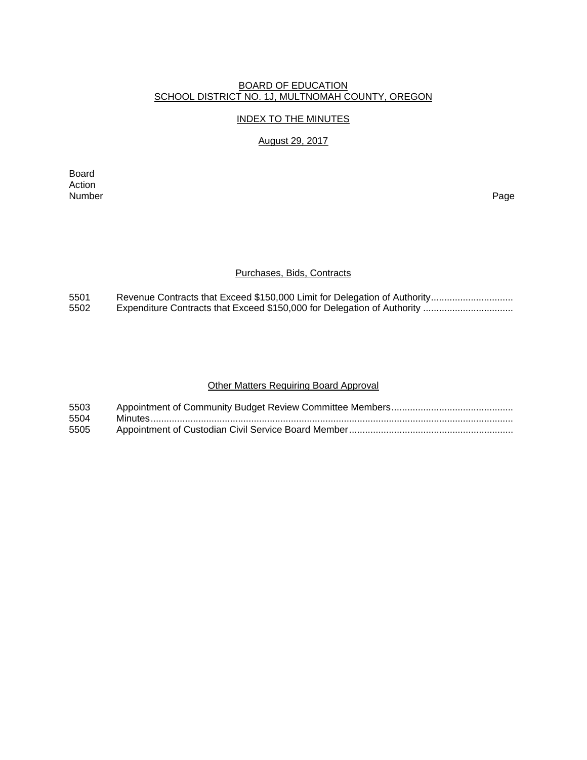## BOARD OF EDUCATION SCHOOL DISTRICT NO. 1J, MULTNOMAH COUNTY, OREGON

#### INDEX TO THE MINUTES

# August 29, 2017

Board Action<br>Number Number Page

#### Purchases, Bids, Contracts

5501 Revenue Contracts that Exceed \$150,000 Limit for Delegation of Authority ...............................<br>5502 Expenditure Contracts that Exceed \$150,000 for Delegation of Authority ................................. 5502 Expenditure Contracts that Exceed \$150,000 for Delegation of Authority ..................................

#### Other Matters Requiring Board Approval

| 5503 |  |
|------|--|
| 5504 |  |
| 5505 |  |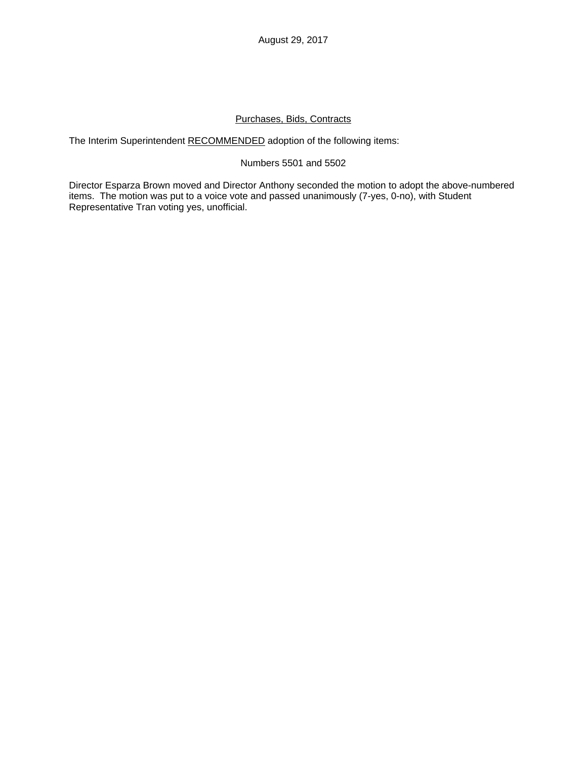# Purchases, Bids, Contracts

The Interim Superintendent RECOMMENDED adoption of the following items:

## Numbers 5501 and 5502

Director Esparza Brown moved and Director Anthony seconded the motion to adopt the above-numbered items. The motion was put to a voice vote and passed unanimously (7-yes, 0-no), with Student Representative Tran voting yes, unofficial.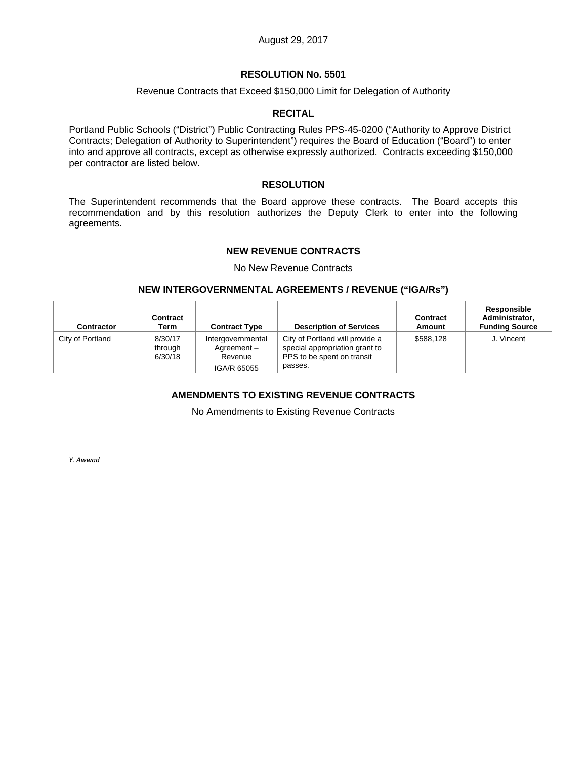## **RESOLUTION No. 5501**

#### Revenue Contracts that Exceed \$150,000 Limit for Delegation of Authority

#### **RECITAL**

Portland Public Schools ("District") Public Contracting Rules PPS-45-0200 ("Authority to Approve District Contracts; Delegation of Authority to Superintendent") requires the Board of Education ("Board") to enter into and approve all contracts, except as otherwise expressly authorized. Contracts exceeding \$150,000 per contractor are listed below.

### **RESOLUTION**

The Superintendent recommends that the Board approve these contracts. The Board accepts this recommendation and by this resolution authorizes the Deputy Clerk to enter into the following agreements.

## **NEW REVENUE CONTRACTS**

No New Revenue Contracts

#### **NEW INTERGOVERNMENTAL AGREEMENTS / REVENUE ("IGA/Rs")**

| <b>Contractor</b> | Contract<br>Term              | <b>Contract Type</b>                                      | <b>Description of Services</b>                                                                             | Contract<br>Amount | Responsible<br>Administrator,<br><b>Funding Source</b> |
|-------------------|-------------------------------|-----------------------------------------------------------|------------------------------------------------------------------------------------------------------------|--------------------|--------------------------------------------------------|
| City of Portland  | 8/30/17<br>through<br>6/30/18 | Intergovernmental<br>Agreement-<br>Revenue<br>IGA/R 65055 | City of Portland will provide a<br>special appropriation grant to<br>PPS to be spent on transit<br>passes. | \$588.128          | J. Vincent                                             |

# **AMENDMENTS TO EXISTING REVENUE CONTRACTS**

No Amendments to Existing Revenue Contracts

*Y. Awwad*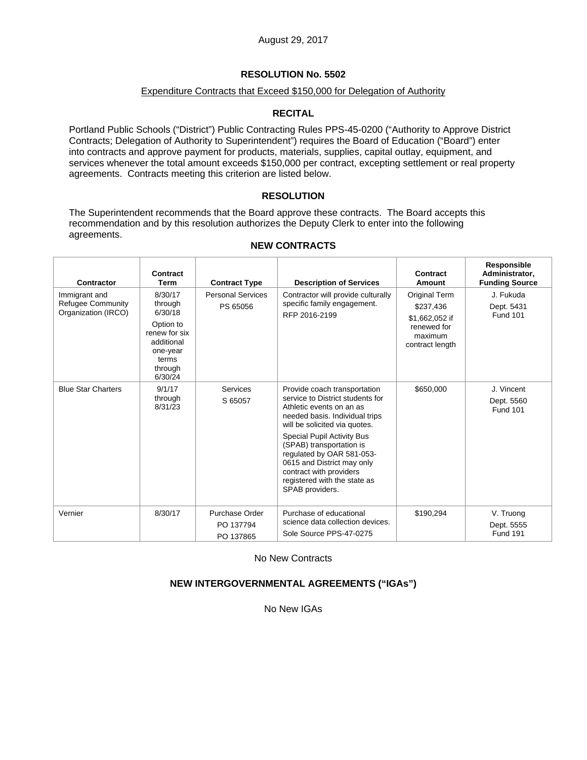# **RESOLUTION No. 5502**

## Expenditure Contracts that Exceed \$150,000 for Delegation of Authority

# **RECITAL**

Portland Public Schools ("District") Public Contracting Rules PPS-45-0200 ("Authority to Approve District Contracts; Delegation of Authority to Superintendent") requires the Board of Education ("Board") enter into contracts and approve payment for products, materials, supplies, capital outlay, equipment, and services whenever the total amount exceeds \$150,000 per contract, excepting settlement or real property agreements. Contracts meeting this criterion are listed below.

# **RESOLUTION**

The Superintendent recommends that the Board approve these contracts. The Board accepts this recommendation and by this resolution authorizes the Deputy Clerk to enter into the following agreements.

| <b>Contractor</b>                                                | Contract<br>Term                                                                                                     | <b>Contract Type</b>                     | <b>Description of Services</b>                                                                                                                                                                                                                                                                                                                                     | Contract<br>Amount                                                                        | Responsible<br>Administrator,<br><b>Funding Source</b> |
|------------------------------------------------------------------|----------------------------------------------------------------------------------------------------------------------|------------------------------------------|--------------------------------------------------------------------------------------------------------------------------------------------------------------------------------------------------------------------------------------------------------------------------------------------------------------------------------------------------------------------|-------------------------------------------------------------------------------------------|--------------------------------------------------------|
| Immigrant and<br><b>Refugee Community</b><br>Organization (IRCO) | 8/30/17<br>through<br>6/30/18<br>Option to<br>renew for six<br>additional<br>one-year<br>terms<br>through<br>6/30/24 | <b>Personal Services</b><br>PS 65056     | Contractor will provide culturally<br>specific family engagement.<br>RFP 2016-2199                                                                                                                                                                                                                                                                                 | Original Term<br>\$237,436<br>\$1,662,052 if<br>renewed for<br>maximum<br>contract length | J. Fukuda<br>Dept. 5431<br><b>Fund 101</b>             |
| <b>Blue Star Charters</b>                                        | 9/1/17<br>through<br>8/31/23                                                                                         | Services<br>S 65057                      | Provide coach transportation<br>service to District students for<br>Athletic events on an as<br>needed basis. Individual trips<br>will be solicited via quotes.<br>Special Pupil Activity Bus<br>(SPAB) transportation is<br>regulated by OAR 581-053-<br>0615 and District may only<br>contract with providers<br>registered with the state as<br>SPAB providers. | \$650,000                                                                                 | J. Vincent<br>Dept. 5560<br><b>Fund 101</b>            |
| Vernier                                                          | 8/30/17                                                                                                              | Purchase Order<br>PO 137794<br>PO 137865 | Purchase of educational<br>science data collection devices.<br>Sole Source PPS-47-0275                                                                                                                                                                                                                                                                             | \$190,294                                                                                 | V. Truong<br>Dept. 5555<br><b>Fund 191</b>             |

#### **NEW CONTRACTS**

No New Contracts

# **NEW INTERGOVERNMENTAL AGREEMENTS ("IGAs")**

No New IGAs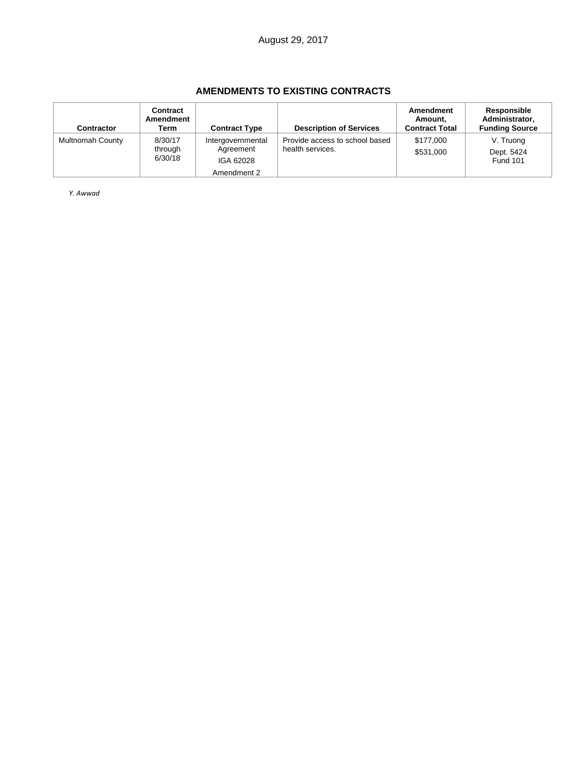# **AMENDMENTS TO EXISTING CONTRACTS**

| <b>Contractor</b>       | Contract<br>Amendment<br>Term | <b>Contract Type</b>                        | <b>Description of Services</b>                     | Amendment<br>Amount,<br><b>Contract Total</b> | Responsible<br>Administrator,<br><b>Funding Source</b> |
|-------------------------|-------------------------------|---------------------------------------------|----------------------------------------------------|-----------------------------------------------|--------------------------------------------------------|
| <b>Multnomah County</b> | 8/30/17<br>through<br>6/30/18 | Intergovernmental<br>Agreement<br>IGA 62028 | Provide access to school based<br>health services. | \$177,000<br>\$531,000                        | V. Truong<br>Dept. 5424<br><b>Fund 101</b>             |
|                         |                               | Amendment 2                                 |                                                    |                                               |                                                        |

*Y. Awwad*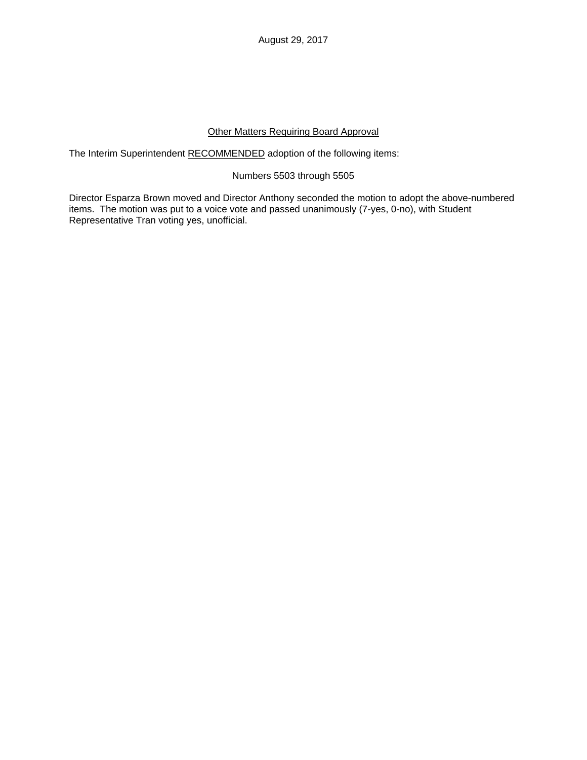# Other Matters Requiring Board Approval

The Interim Superintendent RECOMMENDED adoption of the following items:

## Numbers 5503 through 5505

Director Esparza Brown moved and Director Anthony seconded the motion to adopt the above-numbered items. The motion was put to a voice vote and passed unanimously (7-yes, 0-no), with Student Representative Tran voting yes, unofficial.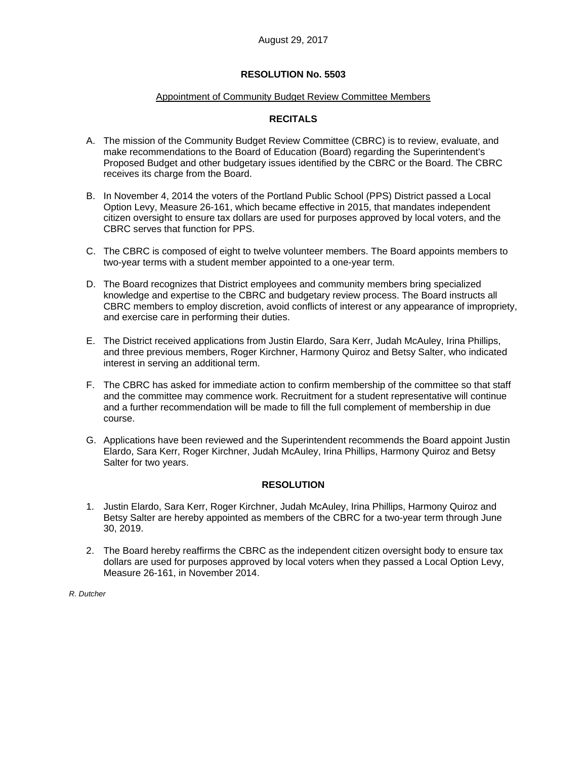# **RESOLUTION No. 5503**

## Appointment of Community Budget Review Committee Members

# **RECITALS**

- A. The mission of the Community Budget Review Committee (CBRC) is to review, evaluate, and make recommendations to the Board of Education (Board) regarding the Superintendent's Proposed Budget and other budgetary issues identified by the CBRC or the Board. The CBRC receives its charge from the Board.
- B. In November 4, 2014 the voters of the Portland Public School (PPS) District passed a Local Option Levy, Measure 26-161, which became effective in 2015, that mandates independent citizen oversight to ensure tax dollars are used for purposes approved by local voters, and the CBRC serves that function for PPS.
- C. The CBRC is composed of eight to twelve volunteer members. The Board appoints members to two-year terms with a student member appointed to a one-year term.
- D. The Board recognizes that District employees and community members bring specialized knowledge and expertise to the CBRC and budgetary review process. The Board instructs all CBRC members to employ discretion, avoid conflicts of interest or any appearance of impropriety, and exercise care in performing their duties.
- E. The District received applications from Justin Elardo, Sara Kerr, Judah McAuley, Irina Phillips, and three previous members, Roger Kirchner, Harmony Quiroz and Betsy Salter, who indicated interest in serving an additional term.
- F. The CBRC has asked for immediate action to confirm membership of the committee so that staff and the committee may commence work. Recruitment for a student representative will continue and a further recommendation will be made to fill the full complement of membership in due course.
- G. Applications have been reviewed and the Superintendent recommends the Board appoint Justin Elardo, Sara Kerr, Roger Kirchner, Judah McAuley, Irina Phillips, Harmony Quiroz and Betsy Salter for two years.

# **RESOLUTION**

- 1. Justin Elardo, Sara Kerr, Roger Kirchner, Judah McAuley, Irina Phillips, Harmony Quiroz and Betsy Salter are hereby appointed as members of the CBRC for a two-year term through June 30, 2019.
- 2. The Board hereby reaffirms the CBRC as the independent citizen oversight body to ensure tax dollars are used for purposes approved by local voters when they passed a Local Option Levy, Measure 26-161, in November 2014.

*R. Dutcher*